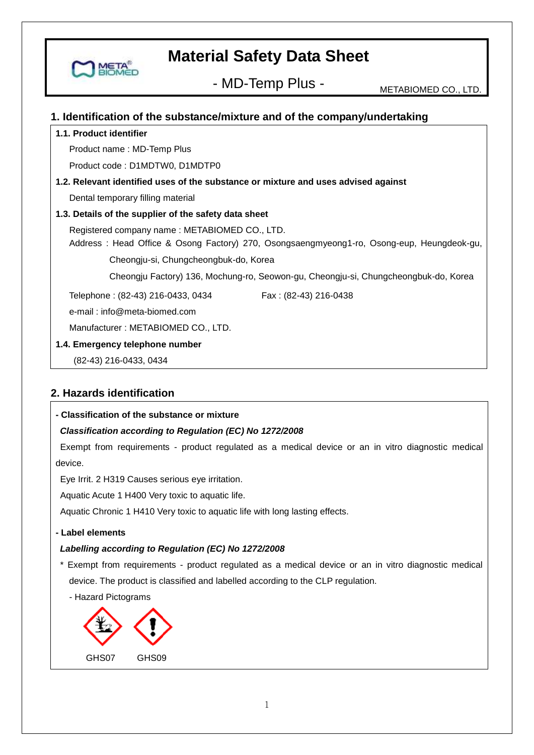

- MD-Temp Plus - METABIOMED CO., LTD.

## **1. Identification of the substance/mixture and of the company/undertaking**

#### **1.1. Product identifier**

Product name : MD-Temp Plus

Product code : D1MDTW0, D1MDTP0

## **1.2. Relevant identified uses of the substance or mixture and uses advised against**

Dental temporary filling material

#### **1.3. Details of the supplier of the safety data sheet**

Registered company name : METABIOMED CO., LTD.

 Address : Head Office & Osong Factory) 270, Osongsaengmyeong1-ro, Osong-eup, Heungdeok-gu, Cheongju-si, Chungcheongbuk-do, Korea

Cheongju Factory) 136, Mochung-ro, Seowon-gu, Cheongju-si, Chungcheongbuk-do, Korea

Telephone: (82-43) 216-0433, 0434 Fax: (82-43) 216-0438

e-mail : info@meta-biomed.com

Manufacturer : METABIOMED CO., LTD.

#### **1.4. Emergency telephone number**

(82-43) 216-0433, 0434

## **2. Hazards identification**

## **- Classification of the substance or mixture**

## *Classification according to Regulation (EC) No 1272/2008*

Exempt from requirements - product regulated as a medical device or an in vitro diagnostic medical device.

Eye Irrit. 2 H319 Causes serious eye irritation.

Aquatic Acute 1 H400 Very toxic to aquatic life.

Aquatic Chronic 1 H410 Very toxic to aquatic life with long lasting effects.

#### **- Label elements**

## *Labelling according to Regulation (EC) No 1272/2008*

\* Exempt from requirements - product regulated as a medical device or an in vitro diagnostic medical device. The product is classified and labelled according to the CLP regulation.



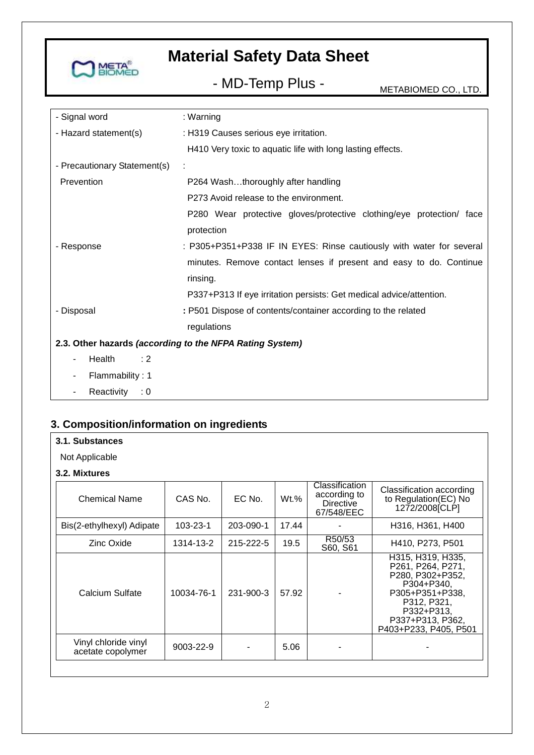

- MD-Temp Plus - METABIOMED CO., LTD.

| - Signal word                | : Warning                                                            |
|------------------------------|----------------------------------------------------------------------|
| - Hazard statement(s)        | : H319 Causes serious eye irritation.                                |
|                              | H410 Very toxic to aquatic life with long lasting effects.           |
| - Precautionary Statement(s) |                                                                      |
| Prevention                   | P264 Washthoroughly after handling                                   |
|                              | P273 Avoid release to the environment.                               |
|                              | P280 Wear protective gloves/protective clothing/eye protection/ face |
|                              | protection                                                           |
| - Response                   | : P305+P351+P338 IF IN EYES: Rinse cautiously with water for several |
|                              | minutes. Remove contact lenses if present and easy to do. Continue   |
|                              | rinsing.                                                             |
|                              | P337+P313 If eye irritation persists: Get medical advice/attention.  |
| - Disposal                   | : P501 Dispose of contents/container according to the related        |
|                              | regulations                                                          |
|                              | 2.3. Other hazards (according to the NFPA Rating System)             |
| Health<br>$\div 2$           |                                                                      |
| Flammability: 1              |                                                                      |
| Reactivity : 0               |                                                                      |

## **3. Composition/information on ingredients**

## **3.1. Substances**

Not Applicable

### **3.2. Mixtures**

| <b>Chemical Name</b>                      | CAS No.    | EC No.    | Wt.%  | Classification<br>according to<br><b>Directive</b><br>67/548/EEC | Classification according<br>to Regulation(EC) No<br>1272/2008 [CLP]                                                                                                   |
|-------------------------------------------|------------|-----------|-------|------------------------------------------------------------------|-----------------------------------------------------------------------------------------------------------------------------------------------------------------------|
| Bis(2-ethylhexyl) Adipate                 | 103-23-1   | 203-090-1 | 17.44 |                                                                  | H316, H361, H400                                                                                                                                                      |
| Zinc Oxide                                | 1314-13-2  | 215-222-5 | 19.5  | R50/53<br>S60, S61                                               | H410, P273, P501                                                                                                                                                      |
| Calcium Sulfate                           | 10034-76-1 | 231-900-3 | 57.92 |                                                                  | H315, H319, H335,<br>P261, P264, P271,<br>P280, P302+P352,<br>P304+P340,<br>P305+P351+P338,<br>P312, P321,<br>P332+P313,<br>P337+P313, P362,<br>P403+P233, P405, P501 |
| Vinyl chloride vinyl<br>acetate copolymer | 9003-22-9  |           | 5.06  |                                                                  |                                                                                                                                                                       |
|                                           |            |           |       |                                                                  |                                                                                                                                                                       |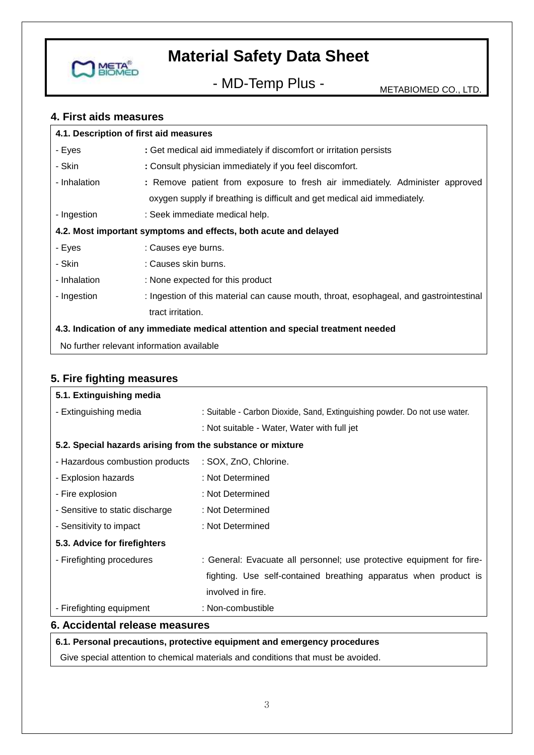

- MD-Temp Plus - METABIOMED CO., LTD.

## **4. First aids measures**

| 4.1. Description of first aid measures                                          |                                                                                        |  |  |
|---------------------------------------------------------------------------------|----------------------------------------------------------------------------------------|--|--|
| - Eyes                                                                          | : Get medical aid immediately if discomfort or irritation persists                     |  |  |
| - Skin                                                                          | : Consult physician immediately if you feel discomfort.                                |  |  |
| - Inhalation                                                                    | : Remove patient from exposure to fresh air immediately. Administer approved           |  |  |
|                                                                                 | oxygen supply if breathing is difficult and get medical aid immediately.               |  |  |
| - Ingestion                                                                     | : Seek immediate medical help.                                                         |  |  |
| 4.2. Most important symptoms and effects, both acute and delayed                |                                                                                        |  |  |
| - Eyes                                                                          | : Causes eye burns.                                                                    |  |  |
| - Skin                                                                          | : Causes skin burns.                                                                   |  |  |
| - Inhalation                                                                    | : None expected for this product                                                       |  |  |
| - Ingestion                                                                     | : Ingestion of this material can cause mouth, throat, esophageal, and gastrointestinal |  |  |
|                                                                                 | tract irritation.                                                                      |  |  |
| 4.3. Indication of any immediate medical attention and special treatment needed |                                                                                        |  |  |
| No further relevant information available                                       |                                                                                        |  |  |

## **5. Fire fighting measures**

| 5.1. Extinguishing media                                   |                                                                            |  |  |
|------------------------------------------------------------|----------------------------------------------------------------------------|--|--|
| - Extinguishing media                                      | : Suitable - Carbon Dioxide, Sand, Extinguishing powder. Do not use water. |  |  |
|                                                            | : Not suitable - Water, Water with full jet                                |  |  |
| 5.2. Special hazards arising from the substance or mixture |                                                                            |  |  |
| - Hazardous combustion products                            | : SOX, ZnO, Chlorine.                                                      |  |  |
| - Explosion hazards                                        | : Not Determined                                                           |  |  |
| - Fire explosion                                           | : Not Determined                                                           |  |  |
| - Sensitive to static discharge                            | : Not Determined                                                           |  |  |
| - Sensitivity to impact                                    | : Not Determined                                                           |  |  |
| 5.3. Advice for firefighters                               |                                                                            |  |  |
| - Firefighting procedures                                  | : General: Evacuate all personnel; use protective equipment for fire-      |  |  |
|                                                            | fighting. Use self-contained breathing apparatus when product is           |  |  |
|                                                            | involved in fire.                                                          |  |  |
| - Firefighting equipment                                   | : Non-combustible                                                          |  |  |
| 6. Accidental release measures                             |                                                                            |  |  |

## **6.1. Personal precautions, protective equipment and emergency procedures**

Give special attention to chemical materials and conditions that must be avoided.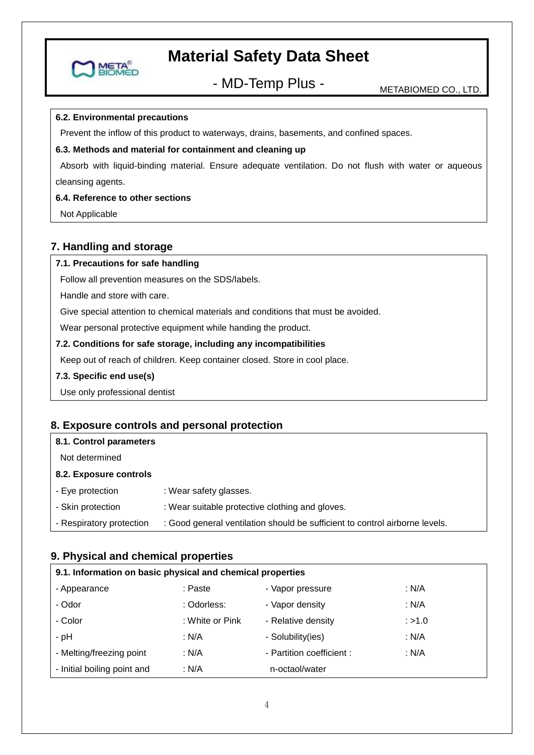

- MD-Temp Plus - METABIOMED CO., LTD.

#### **6.2. Environmental precautions**

Prevent the inflow of this product to waterways, drains, basements, and confined spaces.

#### **6.3. Methods and material for containment and cleaning up**

Absorb with liquid-binding material. Ensure adequate ventilation. Do not flush with water or aqueous cleansing agents.

#### **6.4. Reference to other sections**

Not Applicable

## **7. Handling and storage**

#### **7.1. Precautions for safe handling**

Follow all prevention measures on the SDS/labels.

Handle and store with care.

Give special attention to chemical materials and conditions that must be avoided.

Wear personal protective equipment while handing the product.

#### **7.2. Conditions for safe storage, including any incompatibilities**

Keep out of reach of children. Keep container closed. Store in cool place.

**7.3. Specific end use(s)**

Use only professional dentist

## **8. Exposure controls and personal protection**

| 8.1. Control parameters  |                                                                             |
|--------------------------|-----------------------------------------------------------------------------|
| Not determined           |                                                                             |
| 8.2. Exposure controls   |                                                                             |
| - Eye protection         | : Wear safety glasses.                                                      |
| - Skin protection        | : Wear suitable protective clothing and gloves.                             |
| - Respiratory protection | : Good general ventilation should be sufficient to control airborne levels. |
|                          |                                                                             |

## **9. Physical and chemical properties**

| 9.1. Information on basic physical and chemical properties |                 |                           |         |
|------------------------------------------------------------|-----------------|---------------------------|---------|
| - Appearance                                               | : Paste         | - Vapor pressure          | : $N/A$ |
| - Odor                                                     | : Odorless:     | - Vapor density           | : $N/A$ |
| - Color                                                    | : White or Pink | - Relative density        | : >1.0  |
| - pH                                                       | : N/A           | - Solubility(ies)         | : $N/A$ |
| - Melting/freezing point                                   | : $N/A$         | - Partition coefficient : | : $N/A$ |
| - Initial boiling point and                                | : N/A           | n-octaol/water            |         |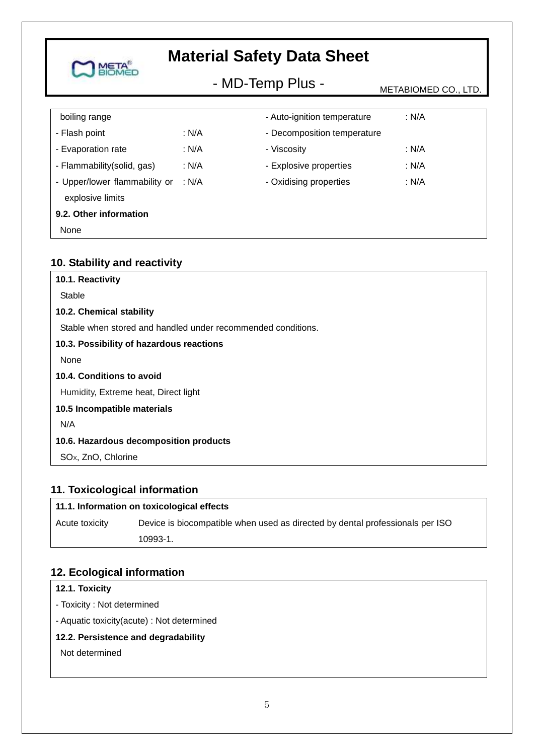#### **Material Safety Data Sheet META** - MD-Temp Plus - METABIOMED CO., LTD. boiling range - Auto-ignition temperature : N/A - Flash point : N/A - Decomposition temperature - Evaporation rate : N/A - Viscosity : N/A

| - Flammability(solid, gas)    | : N/A | - Explosive properties | : N/A |
|-------------------------------|-------|------------------------|-------|
| - Upper/lower flammability or | : N/A | - Oxidising properties | : N/A |
| explosive limits              |       |                        |       |
| 9.2. Other information        |       |                        |       |
| None                          |       |                        |       |
|                               |       |                        |       |

## **10. Stability and reactivity**

| 10.1. Reactivity                                             |
|--------------------------------------------------------------|
| Stable                                                       |
| 10.2. Chemical stability                                     |
| Stable when stored and handled under recommended conditions. |
| 10.3. Possibility of hazardous reactions                     |
| None                                                         |
| 10.4. Conditions to avoid                                    |
| Humidity, Extreme heat, Direct light                         |
| 10.5 Incompatible materials                                  |
| N/A                                                          |
| 10.6. Hazardous decomposition products                       |
| SO <sub>x</sub> , ZnO, Chlorine                              |

## **11. Toxicological information**

## **11.1. Information on toxicological effects**

Acute toxicity Device is biocompatible when used as directed by dental professionals per ISO 10993-1.

## **12. Ecological information**

## **12.1. Toxicity**

- Toxicity : Not determined
- Aquatic toxicity(acute) : Not determined

## **12.2. Persistence and degradability**

Not determined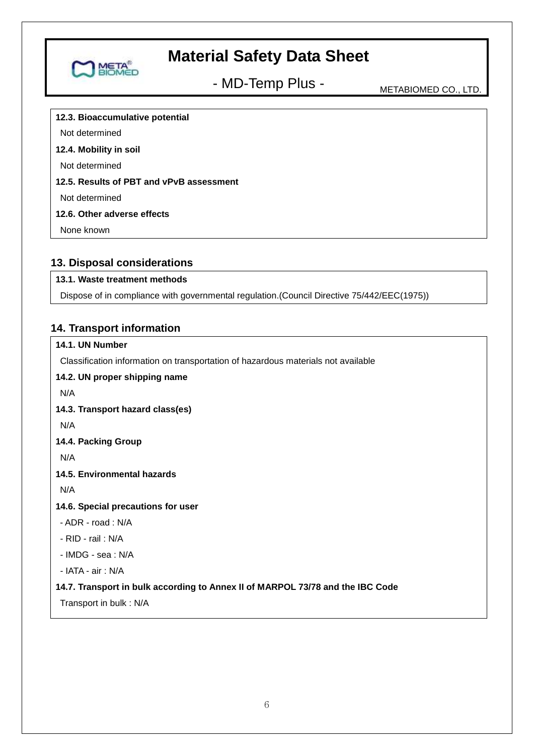

- MD-Temp Plus - METABIOMED CO., LTD.

**12.3. Bioaccumulative potential**

Not determined

#### **12.4. Mobility in soil**

Not determined

## **12.5. Results of PBT and vPvB assessment**

Not determined

#### **12.6. Other adverse effects**

None known

## **13. Disposal considerations**

## **13.1. Waste treatment methods**

Dispose of in compliance with governmental regulation.(Council Directive 75/442/EEC(1975))

## **14. Transport information**

## **14.1. UN Number** Classification information on transportation of hazardous materials not available

### **14.2. UN proper shipping name**

N/A

#### **14.3. Transport hazard class(es)**

N/A

## **14.4. Packing Group**

N/A

## **14.5. Environmental hazards**

N/A

#### **14.6. Special precautions for user**

- ADR road : N/A
- RID rail : N/A

- IMDG - sea : N/A

- IATA - air : N/A

## **14.7. Transport in bulk according to Annex II of MARPOL 73/78 and the IBC Code**

Transport in bulk : N/A